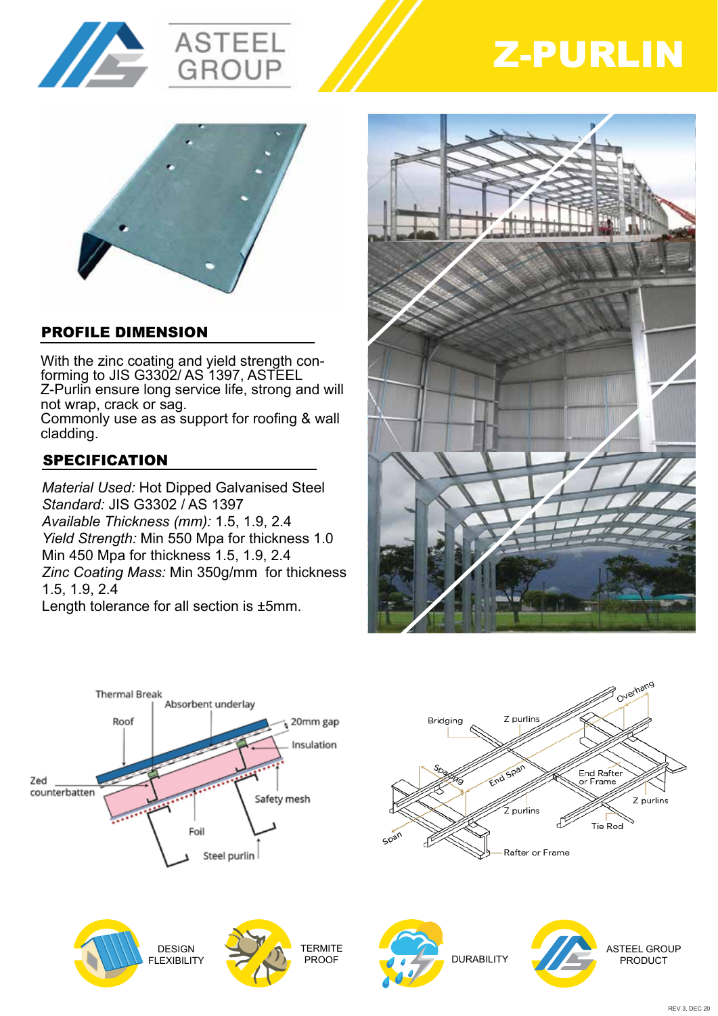







# PROFILE DIMENSION

With the zinc coating and yield strength conforming to JIS G3302/ AS 1397, ASTEEL Z-Purlin ensure long service life, strong and will not wrap, crack or sag.

Commonly use as as support for roofing & wall cladding.

# **SPECIFICATION**

*Material Used:* Hot Dipped Galvanised Steel *Standard:* JIS G3302 / AS 1397 *Available Thickness (mm):* 1.5, 1.9, 2.4 *Yield Strength:* Min 550 Mpa for thickness 1.0 Min 450 Mpa for thickness 1.5, 1.9, 2.4 *Zinc Coating Mass:* Min 350g/mm for thickness 1.5, 1.9, 2.4

Length tolerance for all section is ±5mm.